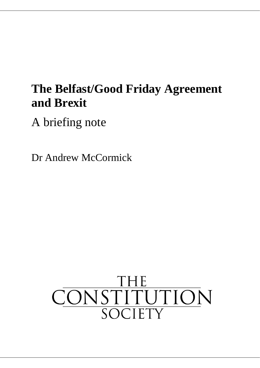# **The Belfast/Good Friday Agreement and Brexit**

A briefing note

Dr Andrew McCormick

# CONSTITUTION SOCIETY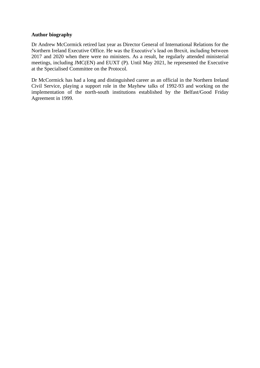#### **Author biography**

Dr Andrew McCormick retired last year as Director General of International Relations for the Northern Ireland Executive Office. He was the Executive's lead on Brexit, including between 2017 and 2020 when there were no ministers. As a result, he regularly attended ministerial meetings, including JMC(EN) and EUXT (P). Until May 2021, he represented the Executive at the Specialised Committee on the Protocol.

Dr McCormick has had a long and distinguished career as an official in the Northern Ireland Civil Service, playing a support role in the Mayhew talks of 1992-93 and working on the implementation of the north-south institutions established by the Belfast/Good Friday Agreement in 1999.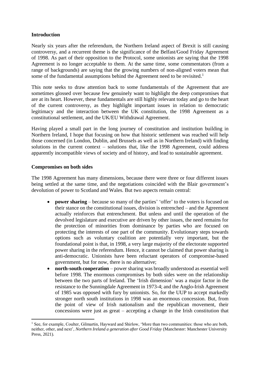### **Introduction**

Nearly six years after the referendum, the Northern Ireland aspect of Brexit is still causing controversy, and a recurrent theme is the significance of the Belfast/Good Friday Agreement of 1998. As part of their opposition to the Protocol, some unionists are saying that the 1998 Agreement is no longer acceptable to them. At the same time, some commentators (from a range of backgrounds) are saying that the growing numbers of non-aligned voters mean that some of the fundamental assumptions behind the Agreement need to be revisited.<sup>1</sup>

This note seeks to draw attention back to some fundamentals of the Agreement that are sometimes glossed over because few genuinely want to highlight the deep compromises that are at its heart. However, these fundamentals are still highly relevant today and go to the heart of the current controversy, as they highlight important issues in relation to democratic legitimacy and the interaction between the UK constitution, the 1998 Agreement as a constitutional settlement, and the UK/EU Withdrawal Agreement.

Having played a small part in the long journey of constitution and institution building in Northern Ireland, I hope that focusing on how that historic settlement was reached will help those concerned (in London, Dublin, and Brussels as well as in Northern Ireland) with finding solutions in the current context – solutions that, like the 1998 Agreement, could address apparently incompatible views of society and of history, and lead to sustainable agreement.

#### **Compromises on both sides**

The 1998 Agreement has many dimensions, because there were three or four different issues being settled at the same time, and the negotiations coincided with the Blair government's devolution of power to Scotland and Wales. But two aspects remain central:

- **power sharing** because so many of the parties' 'offer' to the voters is focused on their stance on the constitutional issues, division is entrenched – and the Agreement actually reinforces that entrenchment. But unless and until the operation of the devolved legislature and executive are driven by other issues, the need remains for the protection of minorities from dominance by parties who are focused on protecting the interests of one part of the community. Evolutionary steps towards options such as voluntary coalition are potentially very important, but the foundational point is that, in 1998, a very large majority of the electorate supported power sharing in the referendum. Hence, it cannot be claimed that power sharing is anti-democratic. Unionists have been reluctant operators of compromise-based government, but for now, there is no alternative;
- **north-south cooperation** power sharing was broadly understood as essential well before 1998. The enormous compromises by both sides were on the relationship between the two parts of Ireland. The 'Irish dimension' was a major factor in the resistance to the Sunningdale Agreement in 1973-4; and the Anglo-Irish Agreement of 1985 was opposed with fury by unionists. So, for the UUP to accept markedly stronger north south institutions in 1998 was an enormous concession. But, from the point of view of Irish nationalism and the republican movement, their concessions were just as great – accepting a change in the Irish constitution that

<sup>&</sup>lt;sup>1</sup> See, for example, Coulter, Gilmartin, Hayward and Shirlow, 'More than two communities: those who are both, neither, other, and next', *Northern Ireland a generation after Good Friday* (Manchester: Manchester University Press, 2021).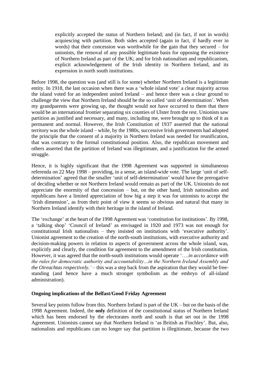explicitly accepted the status of Northern Ireland; and (in fact, if not in words) acquiescing with partition. Both sides accepted (again in fact, if hardly ever in words) that their concession was worthwhile for the gain that they secured – for unionists, the removal of any possible legitimate basis for opposing the existence of Northern Ireland as part of the UK; and for Irish nationalism and republicanism, explicit acknowledgement of the Irish identity in Northern Ireland, and its expression in north south institutions.

Before 1998, the question was (and still is for some) whether Northern Ireland is a legitimate entity. In 1918, the last occasion when there was a 'whole island vote' a clear majority across the island voted for an independent united Ireland – and hence there was a clear ground to challenge the view that Northern Ireland should be the so called 'unit of determination'. When my grandparents were growing up, the thought would not have occurred to them that there would be an international frontier separating six counties of Ulster from the rest. Unionists saw partition as justified and necessary, and many, including me, were brought up to think of it as permanent and normal. However, the Irish Constitution of 1937 asserted that the national territory was the whole island – while, by the 1980s, successive Irish governments had adopted the principle that the consent of a majority in Northern Ireland was needed for reunification, that was contrary to the formal constitutional position. Also, the republican movement and others asserted that the partition of Ireland was illegitimate, and a justification for the armed struggle.

Hence, it is highly significant that the 1998 Agreement was supported in simultaneous referenda on 22 May 1998 – providing, in a sense, an island-wide vote. The large 'unit of selfdetermination' agreed that the smaller 'unit of self-determination' would have the prerogative of deciding whether or not Northern Ireland would remain as part of the UK. Unionists do not appreciate the enormity of that concession – but, on the other hand, Irish nationalists and republicans have a limited appreciation of how big a step it was for unionists to accept the 'Irish dimension', as from their point of view it seems so obvious and natural that many in Northern Ireland identify with their heritage in the island of Ireland.

The 'exchange' at the heart of the 1998 Agreement was 'constitution for institutions'. By 1998, a 'talking shop' 'Council of Ireland' as envisaged in 1920 and 1973 was not enough for constitutional Irish nationalists – they insisted on institutions with 'executive authority'. Unionist agreement to the creation of the north-south institutions, with executive authority and decision-making powers in relation to aspects of government across the whole island, was, explicitly and clearly, the condition for agreement to the amendment of the Irish constitution. However, it was agreed that the north-south institutions would operate '….*in accordance with the rules for democratic authority and accountability…in the Northern Ireland Assembly and the Oireachtas respectively.'* – this was a step back from the aspiration that they would be freestanding (and hence have a much stronger symbolism as the embryo of all-island administration).

#### **Ongoing implications of the Belfast/Good Friday Agreement**

Several key points follow from this. Northern Ireland is part of the UK – but on the basis of the 1998 Agreement. Indeed, the **only** definition of the constitutional status of Northern Ireland which has been endorsed by the electorates north and south is that set out in the 1998 Agreement. Unionists cannot say that Northern Ireland is 'as British as Finchley'. But, also, nationalists and republicans can no longer say that partition is illegitimate, because the two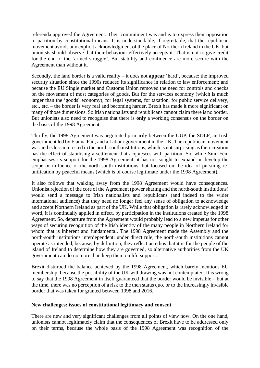referenda approved the Agreement. Their commitment was and is to express their opposition to partition by constitutional means. It is understandable, if regrettable, that the republican movement avoids any explicit acknowledgment of the place of Northern Ireland in the UK, but unionists should observe that their behaviour effectively accepts it. That is not to give credit for the end of the 'armed struggle'. But stability and confidence are more secure with the Agreement than without it.

Secondly, the land border is a valid reality – it does not **appear** 'hard', because: the improved security situation since the 1990s reduced its significance in relation to law enforcement; and because the EU Single market and Customs Union removed the need for controls and checks on the movement of most categories of goods. But for the services economy (which is much larger than the 'goods' economy), for legal systems, for taxation, for public service delivery, etc., etc. – the border is very real and becoming harder. Brexit has made it more significant on many of those dimensions. So Irish nationalists and republicans cannot claim there is no border. But unionists also need to recognise that there is **only** a working consensus on the border on the basis of the 1998 Agreement.

Thirdly, the 1998 Agreement was negotiated primarily between the UUP, the SDLP, an Irish government led by Fianna Fail, and a Labour government in the UK. The republican movement was and is less interested in the north-south institutions, which is not surprising as their creation has the effect of stabilising a settlement that acquiesces with partition. So, while Sinn Féin emphasises its support for the 1998 Agreement, it has not sought to expand or develop the scope or influence of the north-south institutions, but focused on the idea of pursuing reunification by peaceful means (which is of course legitimate under the 1998 Agreement).

It also follows that walking away from the 1998 Agreement would have consequences. Unionist rejection of the core of the Agreement (power sharing and the north-south institutions) would send a message to Irish nationalists and republicans (and indeed to the wider international audience) that they need no longer feel any sense of obligation to acknowledge and accept Northern Ireland as part of the UK. While that obligation is rarely acknowledged in word, it is continually applied in effect, by participation in the institutions created by the 1998 Agreement. So, departure from the Agreement would probably lead to a new impetus for other ways of securing recognition of the Irish identity of the many people in Northern Ireland for whom that is inherent and fundamental. The 1998 Agreement made the Assembly and the north-south institutions interdependent: under direct rule, the north-south institutions cannot operate as intended, because, by definition, they reflect an ethos that it is for the people of the island of Ireland to determine how they are governed, so alternative authorities from the UK government can do no more than keep them on life-support.

Brexit disturbed the balance achieved by the 1998 Agreement, which barely mentions EU membership, because the possibility of the UK withdrawing was not contemplated. It is wrong to say that the 1998 Agreement in itself guaranteed that the border would be invisible – but at the time, there was no perception of a risk to the then status quo, or to the increasingly invisible border that was taken for granted between 1998 and 2016.

#### **New challenges: issues of constitutional legitimacy and consent**

There are new and very significant challenges from all points of view now. On the one hand, unionists cannot legitimately claim that the consequences of Brexit have to be addressed only on their terms, because the whole basis of the 1998 Agreement was recognition of the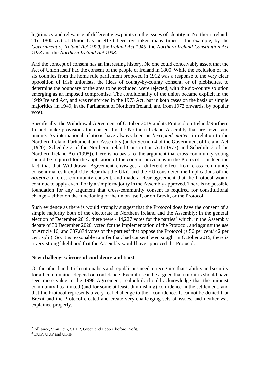legitimacy and relevance of different viewpoints on the issues of identity in Northern Ireland. The 1800 Act of Union has in effect been overtaken many times – for example, by the *Government of Ireland Act 1920*, the *Ireland Act 1949*, the *Northern Ireland Constitution Act 1973* and the *Northern Ireland Act 1998*.

And the concept of consent has an interesting history. No one could conceivably assert that the Act of Union itself had the consent of the people of Ireland in 1800. While the exclusion of the six counties from the home rule parliament proposed in 1912 was a response to the very clear opposition of Irish unionists, the ideas of county-by-county consent, or of plebiscites, to determine the boundary of the area to be excluded, were rejected, with the six-county solution emerging as an imposed compromise. The conditionality of the union became explicit in the 1949 Ireland Act, and was reinforced in the 1973 Act, but in both cases on the basis of simple majorities (in 1949, in the Parliament of Northern Ireland, and from 1973 onwards, by popular vote).

Specifically, the Withdrawal Agreement of October 2019 and its Protocol on Ireland/Northern Ireland make provisions for consent by the Northern Ireland Assembly that are novel and unique. As international relations have always been an '*excepted matter*' in relation to the Northern Ireland Parliament and Assembly (under Section 4 of the Government of Ireland Act (1920), Schedule 2 of the Northern Ireland Constitution Act (1973) and Schedule 2 of the Northern Ireland Act (1998)), there is no basis for the argument that cross-community voting should be required for the application of the consent provisions in the Protocol – indeed the fact that that Withdrawal Agreement envisages a different effect from cross-community consent makes it explicitly clear that the UKG and the EU considered the implications of the *absence* of cross-community consent, and made a clear agreement that the Protocol would continue to apply even if only a simple majority in the Assembly approved. There is no possible foundation for any argument that cross-community consent is required for constitutional change – either on the functioning of the union itself, or on Brexit, or the Protocol.

Such evidence as there is would strongly suggest that the Protocol does have the consent of a simple majority both of the electorate in Northern Ireland and the Assembly: in the general election of December 2019, there were  $444.227$  votes for the parties<sup>2</sup> which, in the Assembly debate of 30 December 2020, voted for the implementation of the Protocol, and against the use of Article 16, and 337,874 votes of the parties<sup>3</sup> that oppose the Protocol (a 56 per cent/ 42 per cent split). So, it is reasonable to infer that, had consent been sought in October 2019, there is a very strong likelihood that the Assembly would have approved the Protocol.

#### **New challenges: issues of confidence and trust**

On the other hand, Irish nationalists and republicans need to recognise that stability and security for all communities depend on confidence. Even if it can be argued that unionists should have seen more value in the 1998 Agreement, realpolitik should acknowledge that the unionist community has limited (and for some at least, diminishing) confidence in the settlement, and that the Protocol represents a very real challenge to their confidence. It cannot be denied that Brexit and the Protocol created and create very challenging sets of issues, and neither was explained properly.

<sup>2</sup> Alliance, Sinn Féin, SDLP, Green and People before Profit.

<sup>&</sup>lt;sup>3</sup> DUP, UUP and UKIP.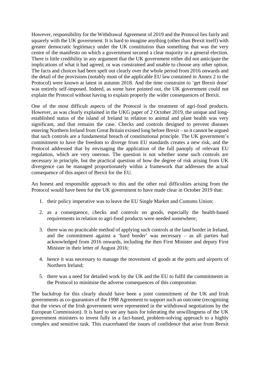However, responsibility for the Withdrawal Agreement of 2019 and the Protocol lies fairly and squarely with the UK government. It is hard to imagine anything (other than Brexit itself) with greater democratic legitimacy under the UK constitution than something that was the very centre of the manifesto on which a government secured a clear majority in a general election. There is little credibility in any argument that the UK government either did not anticipate the implications of what it had agreed, or was constrained and unable to choose any other option. The facts and choices had been spelt out clearly over the whole period from 2016 onwards and the detail of the provisions (notably most of the applicable EU law contained in Annex 2 to the Protocol) were known at latest in autumn 2018. And the time constraint to 'get Brexit done' was entirely self-imposed. Indeed, as some have pointed out, the UK government could not explain the Protocol without having to explain properly the wider consequences of Brexit.

One of the most difficult aspects of the Protocol is the treatment of agri-food products. However, as was clearly explained in the UKG paper of 2 October 2019, the unique and longestablished status of the island of Ireland in relation to animal and plant health was very significant, and that remains the case. Checks and controls designed to prevent diseases entering Northern Ireland from Great Britain existed long before Brexit – so it cannot be argued that such controls are a fundamental breach of constitutional principle. The UK government's commitment to have the freedom to diverge from EU standards creates a new risk, and the Protocol addressed that by envisaging the application of the full panoply of relevant EU regulation, which are very onerous. The question is not whether some such controls are necessary in principle, but the practical question of how the degree of risk arising from UK divergence can be managed proportionately within a framework that addresses the actual consequence of this aspect of Brexit for the EU.

An honest and responsible approach to this and the other real difficulties arising from the Protocol would have been for the UK government to have made clear in October 2019 that:

- 1. their policy imperative was to leave the EU Single Market and Customs Union;
- 2. as a consequence, checks and controls on goods, especially the health-based requirements in relation to agri-food products were needed somewhere;
- 3. there was no practicable method of applying such controls at the land border in Ireland, and the commitment against a 'hard border' was necessary – as all parties had acknowledged from 2016 onwards, including the then First Minister and deputy First Minister in their letter of August 2016;
- 4. hence it was necessary to manage the movement of goods at the ports and airports of Northern Ireland;
- 5. there was a need for detailed work by the UK and the EU to fulfil the commitments in the Protocol to minimise the adverse consequences of this compromise.

The backdrop for this clearly should have been a joint commitment of the UK and Irish governments as co-guarantors of the 1998 Agreement to support such an outcome (recognising that the views of the Irish government were represented in the withdrawal negotiations by the European Commission). It is hard to see any basis for tolerating the unwillingness of the UK government ministers to invest fully in a fact-based, problem-solving approach to a highly complex and sensitive task. This exacerbated the issues of confidence that arise from Brexit